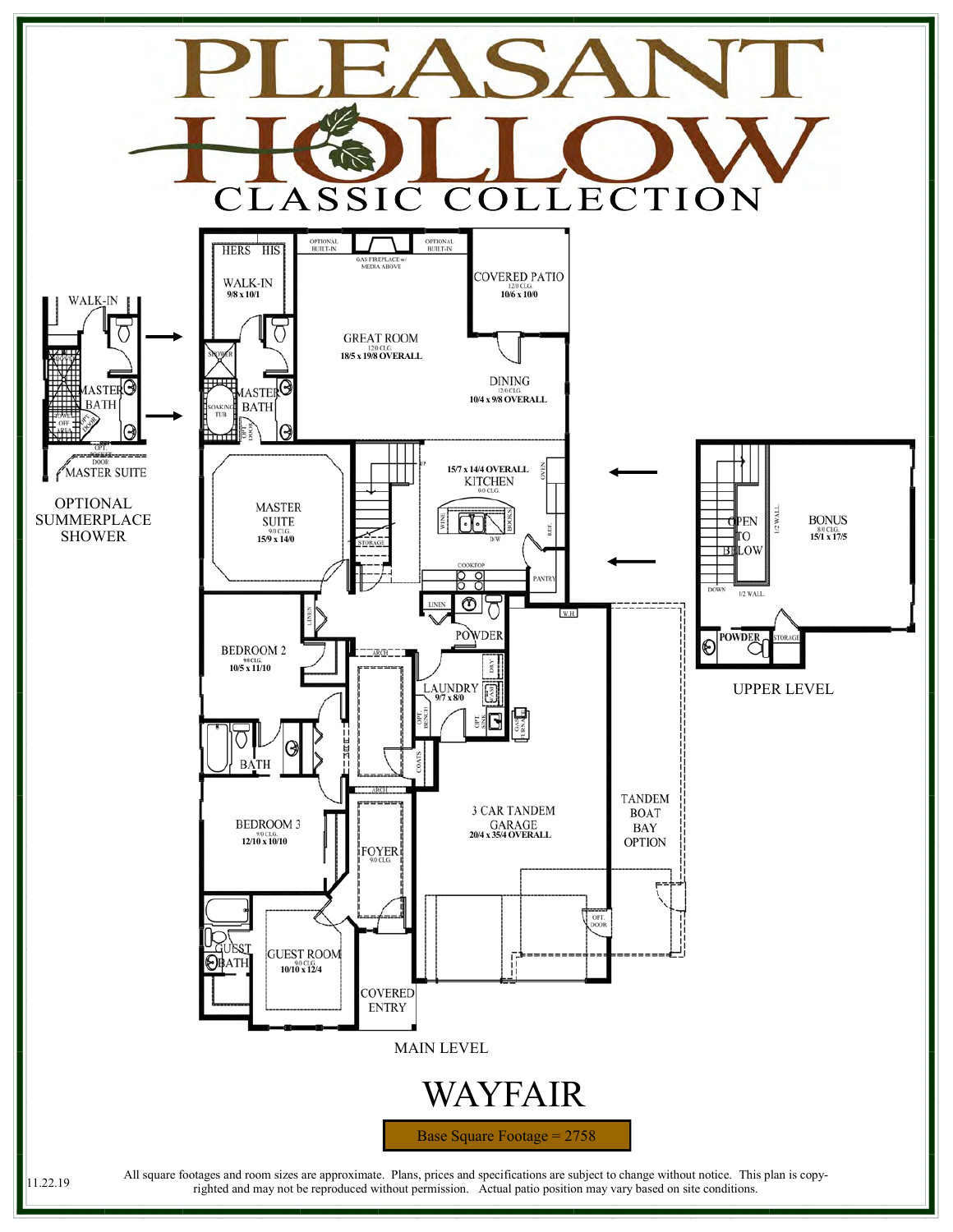

righted and may not be reproduced without permission. Actual patio position may vary based on site conditions.

11.22.19